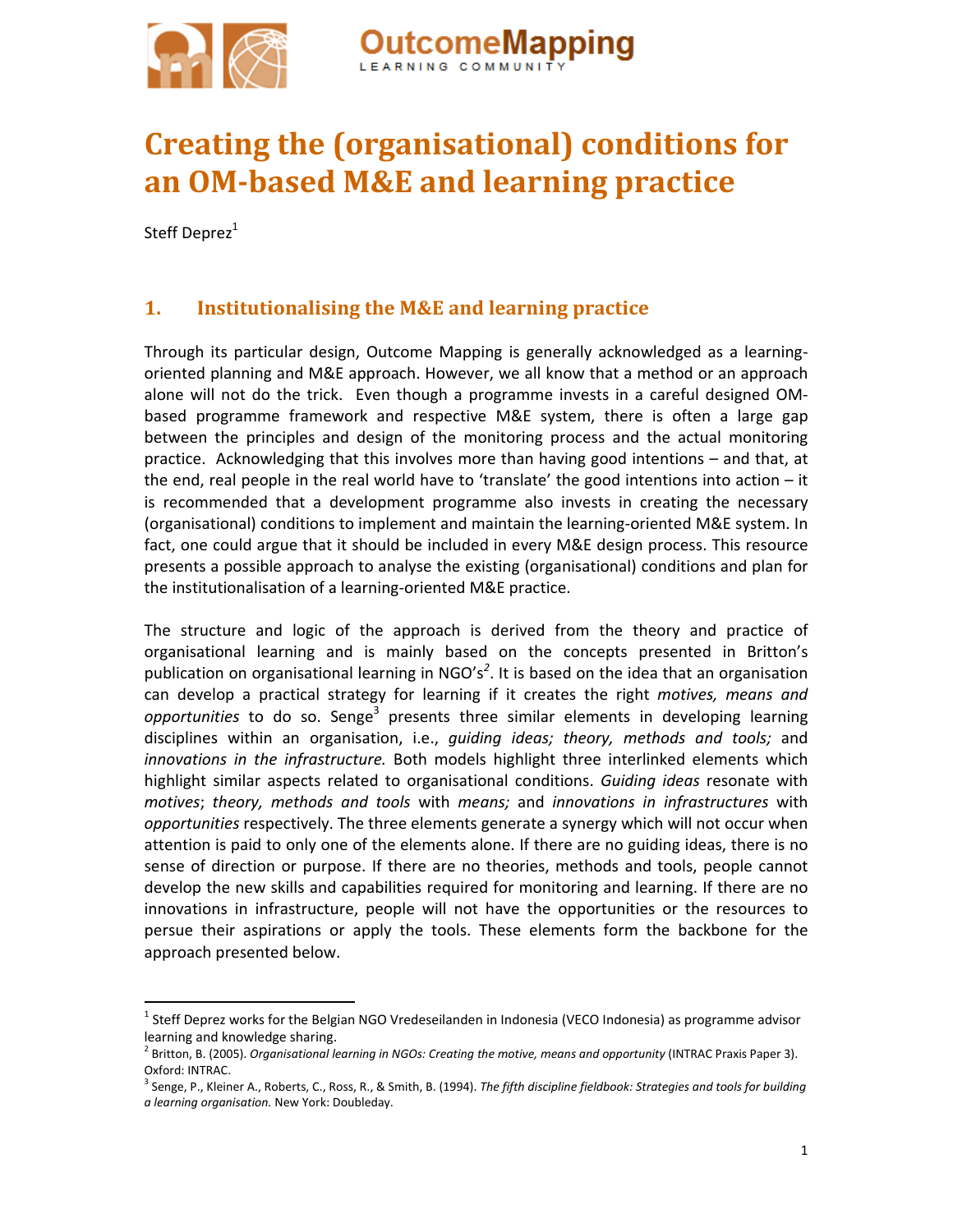

# **Creating the (organisational) conditions for an OMbased M&E and learning practice**

tcomeMapping

Steff Deprez<sup>1</sup>

# **1. Institutionalising the M&E and learning practice**

Through its particular design, Outcome Mapping is generally acknowledged as a learning‐ oriented planning and M&E approach. However, we all know that a method or an approach alone will not do the trick. Even though a programme invests in a careful designed OMbased programme framework and respective M&E system, there is often a large gap between the principles and design of the monitoring process and the actual monitoring practice. Acknowledging that this involves more than having good intentions – and that, at the end, real people in the real world have to 'translate' the good intentions into action  $-$  it is recommended that a development programme also invests in creating the necessary (organisational) conditions to implement and maintain the learning‐oriented M&E system. In fact, one could argue that it should be included in every M&E design process. This resource presents a possible approach to analyse the existing (organisational) conditions and plan for the institutionalisation of a learning‐oriented M&E practice.

The structure and logic of the approach is derived from the theory and practice of organisational learning and is mainly based on the concepts presented in Britton's publication on organisational learning in NGO's*<sup>2</sup>* . It is based on the idea that an organisation can develop a practical strategy for learning if it creates the right *motives, means and opportunities* to do so. Senge<sup>3</sup> presents three similar elements in developing learning disciplines within an organisation, i.e., *guiding ideas; theory, methods and tools;* and *innovations in the infrastructure.* Both models highlight three interlinked elements which highlight similar aspects related to organisational conditions. *Guiding ideas* resonate with *motives*; *theory, methods and tools* with *means;* and *innovations in infrastructures* with *opportunities* respectively. The three elements generate a synergy which will not occur when attention is paid to only one of the elements alone. If there are no guiding ideas, there is no sense of direction or purpose. If there are no theories, methods and tools, people cannot develop the new skills and capabilities required for monitoring and learning. If there are no innovations in infrastructure, people will not have the opportunities or the resources to persue their aspirations or apply the tools. These elements form the backbone for the approach presented below.

<sup>&</sup>lt;sup>1</sup> Steff Deprez works for the Belgian NGO Vredeseilanden in Indonesia (VECO Indonesia) as programme advisor learning and knowledge sharing.<br><sup>2</sup> Britton, B. (2005). *Organisational learning in NGOs: Creating the motive, means and opportunity (INTRAC Praxis Paper 3).* 

Oxford: INTRAC. <sup>3</sup> Senge, P., Kleiner A., Roberts, C., Ross, R., & Smith, B. (1994). *The fifth discipline fieldbook: Strategies and tools for building a learning organisation.* New York: Doubleday.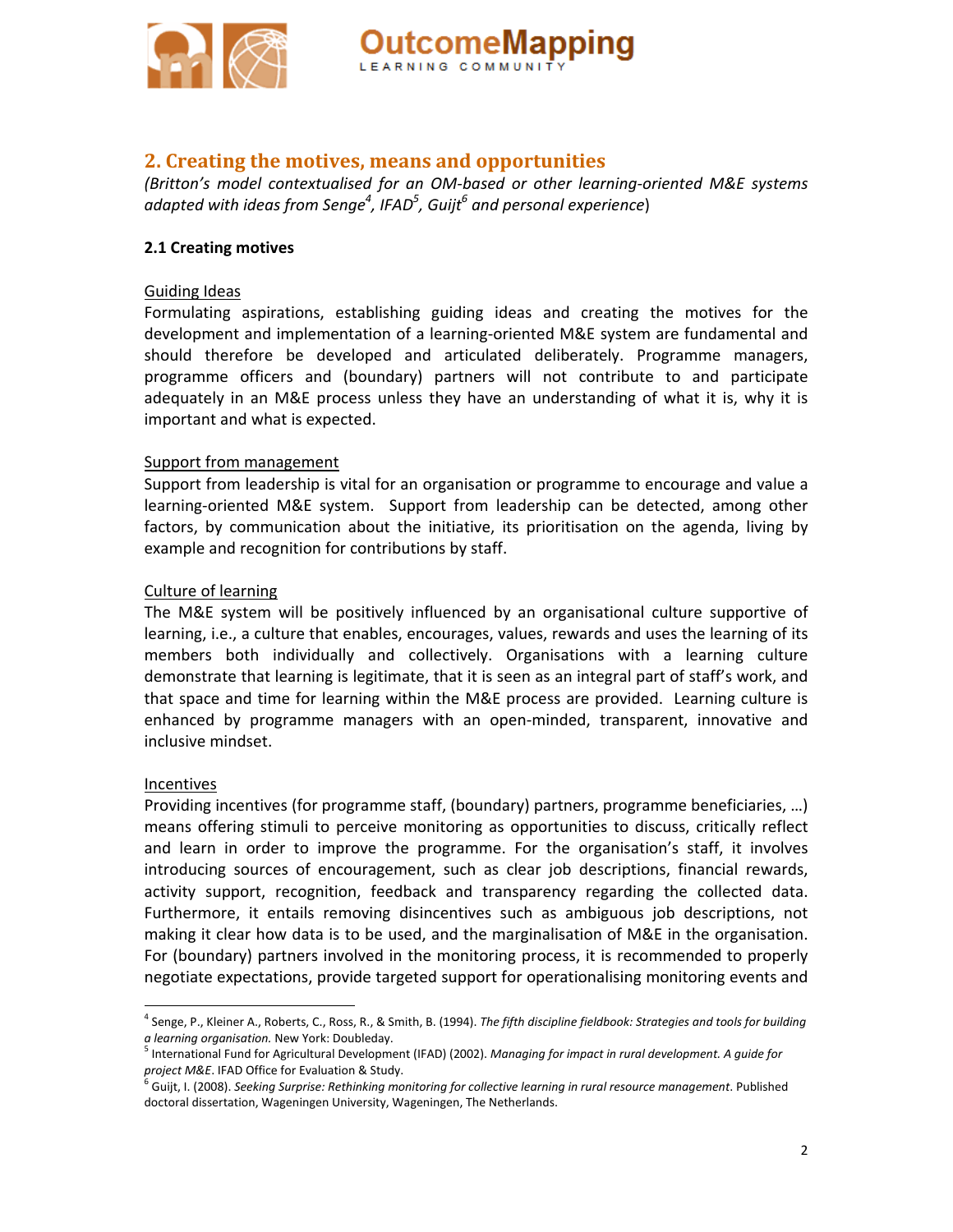

### **2. Creating the motives, means and opportunities**

*(Britton's model contextualised for an OM‐based or other learning‐oriented M&E systems adapted with ideas from Senge4 , IFAD<sup>5</sup> , Guijt6 and personal experience*)

#### **2.1 Creating motives**

#### Guiding Ideas

Formulating aspirations, establishing guiding ideas and creating the motives for the development and implementation of a learning‐oriented M&E system are fundamental and should therefore be developed and articulated deliberately. Programme managers, programme officers and (boundary) partners will not contribute to and participate adequately in an M&E process unless they have an understanding of what it is, why it is important and what is expected.

#### Support from management

Support from leadership is vital for an organisation or programme to encourage and value a learning-oriented M&E system. Support from leadership can be detected, among other factors, by communication about the initiative, its prioritisation on the agenda, living by example and recognition for contributions by staff.

#### Culture of learning

The M&E system will be positively influenced by an organisational culture supportive of learning, i.e., a culture that enables, encourages, values, rewards and uses the learning of its members both individually and collectively. Organisations with a learning culture demonstrate that learning is legitimate, that it is seen as an integral part of staff's work, and that space and time for learning within the M&E process are provided. Learning culture is enhanced by programme managers with an open-minded, transparent, innovative and inclusive mindset.

#### Incentives

Providing incentives (for programme staff, (boundary) partners, programme beneficiaries, …) means offering stimuli to perceive monitoring as opportunities to discuss, critically reflect and learn in order to improve the programme. For the organisation's staff, it involves introducing sources of encouragement, such as clear job descriptions, financial rewards, activity support, recognition, feedback and transparency regarding the collected data. Furthermore, it entails removing disincentives such as ambiguous job descriptions, not making it clear how data is to be used, and the marginalisation of M&E in the organisation. For (boundary) partners involved in the monitoring process, it is recommended to properly negotiate expectations, provide targeted support for operationalising monitoring events and

<sup>4</sup> Senge, P., Kleiner A., Roberts, C., Ross, R., & Smith, B. (1994). *The fifth discipline fieldbook: Strategies and tools for building*

a learning organisation. New York: Doubleday.<br><sup>5</sup> International Fund for Agricultural Development (IFAD) (2002). Managing for impact in rural development. A guide for<br>project M&E. IFAD Office for Evaluation & Study.

<sup>&</sup>lt;sup>.<br>6</sup> Guijt, I. (2008). Seeking Surprise: Rethinking monitoring for collective learning in rural resource management. Published doctoral dissertation, Wageningen University, Wageningen, The Netherlands.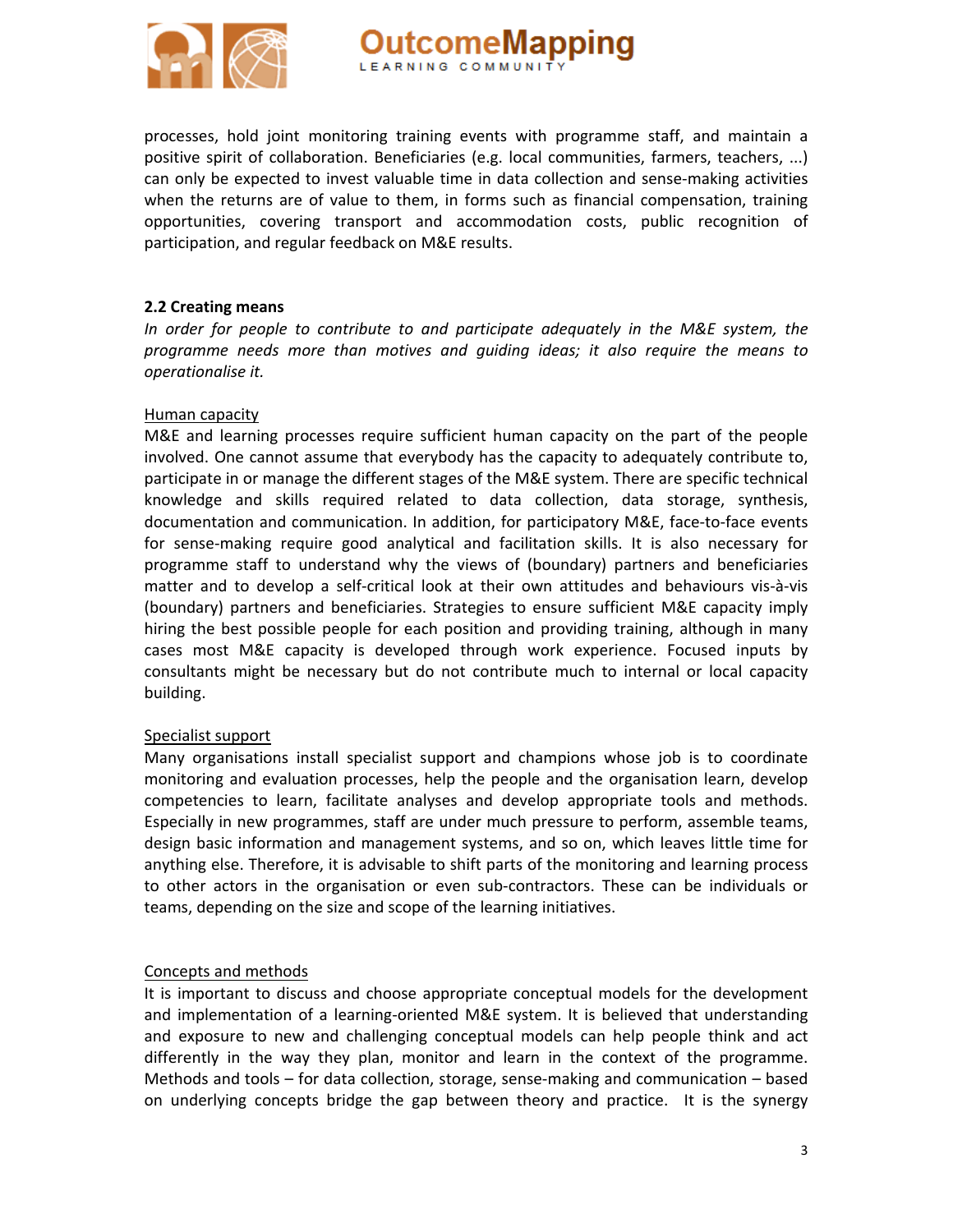

processes, hold joint monitoring training events with programme staff, and maintain a positive spirit of collaboration. Beneficiaries (e.g. local communities, farmers, teachers, ...) can only be expected to invest valuable time in data collection and sense-making activities when the returns are of value to them, in forms such as financial compensation, training opportunities, covering transport and accommodation costs, public recognition of participation, and regular feedback on M&E results.

#### **2.2 Creating means**

*In order for people to contribute to and participate adequately in the M&E system, the programme needs more than motives and guiding ideas; it also require the means to operationalise it.* 

#### Human capacity

M&E and learning processes require sufficient human capacity on the part of the people involved. One cannot assume that everybody has the capacity to adequately contribute to, participate in or manage the different stages of the M&E system. There are specific technical knowledge and skills required related to data collection, data storage, synthesis, documentation and communication. In addition, for participatory M&E, face‐to‐face events for sense‐making require good analytical and facilitation skills. It is also necessary for programme staff to understand why the views of (boundary) partners and beneficiaries matter and to develop a self‐critical look at their own attitudes and behaviours vis‐à‐vis (boundary) partners and beneficiaries. Strategies to ensure sufficient M&E capacity imply hiring the best possible people for each position and providing training, although in many cases most M&E capacity is developed through work experience. Focused inputs by consultants might be necessary but do not contribute much to internal or local capacity building.

#### Specialist support

Many organisations install specialist support and champions whose job is to coordinate monitoring and evaluation processes, help the people and the organisation learn, develop competencies to learn, facilitate analyses and develop appropriate tools and methods. Especially in new programmes, staff are under much pressure to perform, assemble teams, design basic information and management systems, and so on, which leaves little time for anything else. Therefore, it is advisable to shift parts of the monitoring and learning process to other actors in the organisation or even sub‐contractors. These can be individuals or teams, depending on the size and scope of the learning initiatives.

#### Concepts and methods

It is important to discuss and choose appropriate conceptual models for the development and implementation of a learning‐oriented M&E system. It is believed that understanding and exposure to new and challenging conceptual models can help people think and act differently in the way they plan, monitor and learn in the context of the programme. Methods and tools – for data collection, storage, sense-making and communication – based on underlying concepts bridge the gap between theory and practice. It is the synergy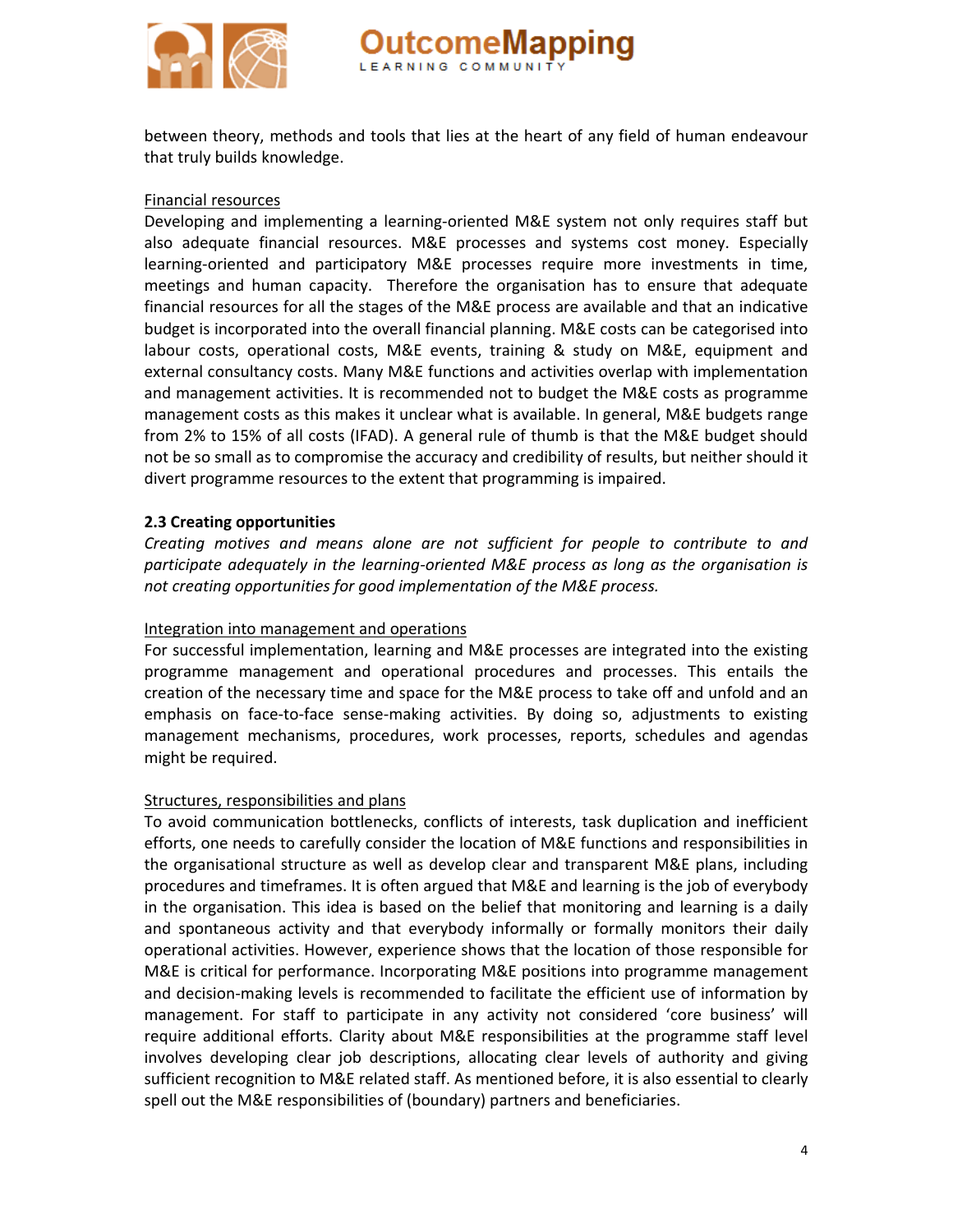

between theory, methods and tools that lies at the heart of any field of human endeavour that truly builds knowledge.

#### Financial resources

Developing and implementing a learning-oriented M&E system not only requires staff but also adequate financial resources. M&E processes and systems cost money. Especially learning‐oriented and participatory M&E processes require more investments in time, meetings and human capacity. Therefore the organisation has to ensure that adequate financial resources for all the stages of the M&E process are available and that an indicative budget is incorporated into the overall financial planning. M&E costs can be categorised into labour costs, operational costs, M&E events, training & study on M&E, equipment and external consultancy costs. Many M&E functions and activities overlap with implementation and management activities. It is recommended not to budget the M&E costs as programme management costs as this makes it unclear what is available. In general, M&E budgets range from 2% to 15% of all costs (IFAD). A general rule of thumb is that the M&E budget should not be so small as to compromise the accuracy and credibility of results, but neither should it divert programme resources to the extent that programming is impaired.

#### **2.3 Creating opportunities**

*Creating motives and means alone are not sufficient for people to contribute to and participate adequately in the learning‐oriented M&E process as long as the organisation is not creating opportunities for good implementation of the M&E process.*

#### Integration into management and operations

For successful implementation, learning and M&E processes are integrated into the existing programme management and operational procedures and processes. This entails the creation of the necessary time and space for the M&E process to take off and unfold and an emphasis on face-to-face sense-making activities. By doing so, adjustments to existing management mechanisms, procedures, work processes, reports, schedules and agendas might be required.

#### Structures, responsibilities and plans

To avoid communication bottlenecks, conflicts of interests, task duplication and inefficient efforts, one needs to carefully consider the location of M&E functions and responsibilities in the organisational structure as well as develop clear and transparent M&E plans, including procedures and timeframes. It is often argued that M&E and learning is the job of everybody in the organisation. This idea is based on the belief that monitoring and learning is a daily and spontaneous activity and that everybody informally or formally monitors their daily operational activities. However, experience shows that the location of those responsible for M&E is critical for performance. Incorporating M&E positions into programme management and decision-making levels is recommended to facilitate the efficient use of information by management. For staff to participate in any activity not considered 'core business' will require additional efforts. Clarity about M&E responsibilities at the programme staff level involves developing clear job descriptions, allocating clear levels of authority and giving sufficient recognition to M&E related staff. As mentioned before, it is also essential to clearly spell out the M&E responsibilities of (boundary) partners and beneficiaries.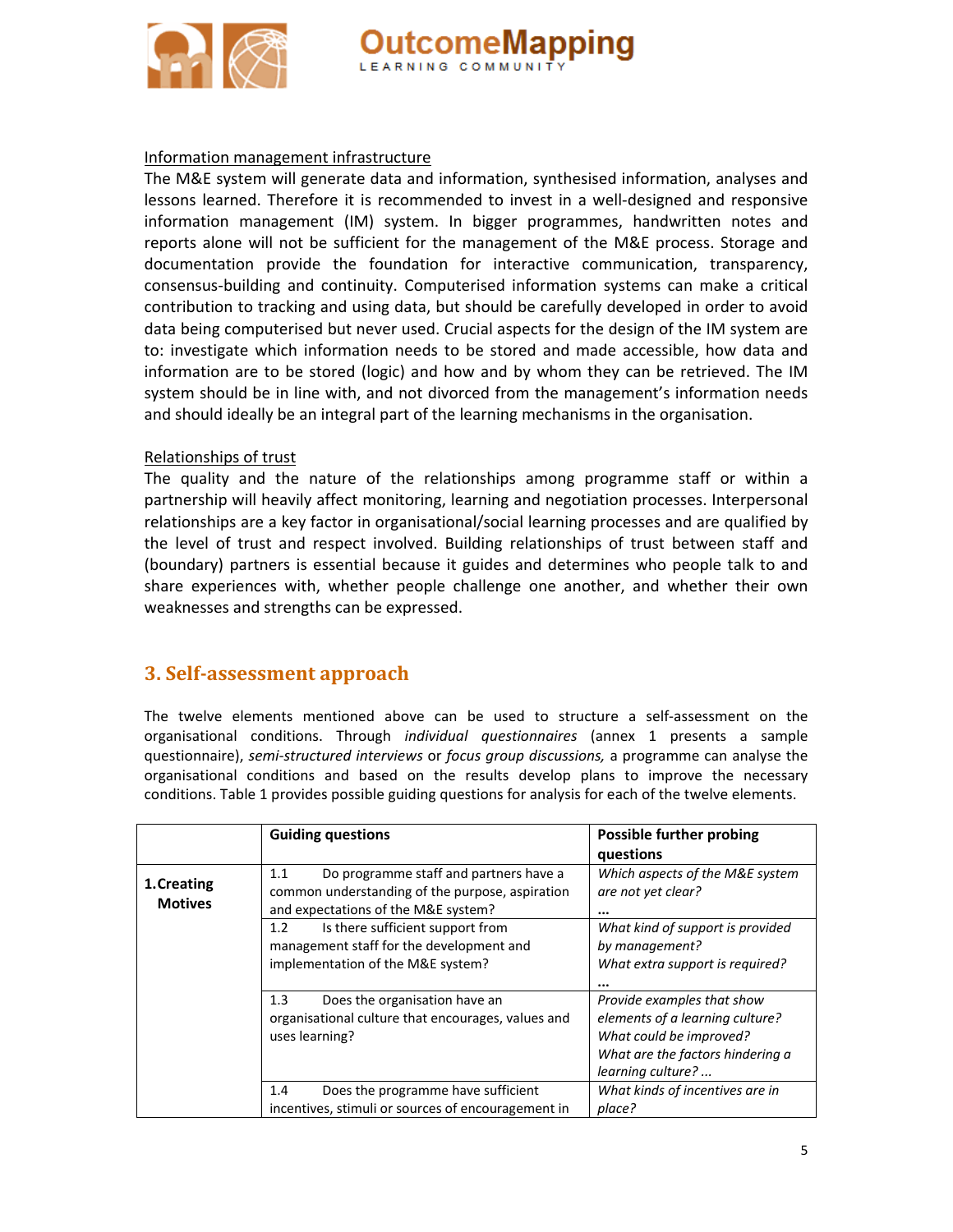



#### Information management infrastructure

The M&E system will generate data and information, synthesised information, analyses and lessons learned. Therefore it is recommended to invest in a well‐designed and responsive information management (IM) system. In bigger programmes, handwritten notes and reports alone will not be sufficient for the management of the M&E process. Storage and documentation provide the foundation for interactive communication, transparency, consensus‐building and continuity. Computerised information systems can make a critical contribution to tracking and using data, but should be carefully developed in order to avoid data being computerised but never used. Crucial aspects for the design of the IM system are to: investigate which information needs to be stored and made accessible, how data and information are to be stored (logic) and how and by whom they can be retrieved. The IM system should be in line with, and not divorced from the management's information needs and should ideally be an integral part of the learning mechanisms in the organisation.

#### Relationships of trust

The quality and the nature of the relationships among programme staff or within a partnership will heavily affect monitoring, learning and negotiation processes. Interpersonal relationships are a key factor in organisational/social learning processes and are qualified by the level of trust and respect involved. Building relationships of trust between staff and (boundary) partners is essential because it guides and determines who people talk to and share experiences with, whether people challenge one another, and whether their own weaknesses and strengths can be expressed.

#### **3. Selfassessment approach**

The twelve elements mentioned above can be used to structure a self-assessment on the organisational conditions. Through *individual questionnaires* (annex 1 presents a sample questionnaire), *semi‐structured interviews* or *focus group discussions,* a programme can analyse the organisational conditions and based on the results develop plans to improve the necessary conditions. Table 1 provides possible guiding questions for analysis for each of the twelve elements.

|                               | <b>Guiding questions</b>                                                                                                                | Possible further probing<br>questions                                                                                                             |
|-------------------------------|-----------------------------------------------------------------------------------------------------------------------------------------|---------------------------------------------------------------------------------------------------------------------------------------------------|
| 1. Creating<br><b>Motives</b> | Do programme staff and partners have a<br>1.1<br>common understanding of the purpose, aspiration<br>and expectations of the M&E system? | Which aspects of the M&E system<br>are not yet clear?<br>$\cdots$                                                                                 |
|                               | Is there sufficient support from<br>1.2<br>management staff for the development and<br>implementation of the M&E system?                | What kind of support is provided<br>by management?<br>What extra support is required?<br>                                                         |
|                               | 1.3<br>Does the organisation have an<br>organisational culture that encourages, values and<br>uses learning?                            | Provide examples that show<br>elements of a learning culture?<br>What could be improved?<br>What are the factors hindering a<br>learning culture? |
|                               | Does the programme have sufficient<br>1.4<br>incentives, stimuli or sources of encouragement in                                         | What kinds of incentives are in<br>place?                                                                                                         |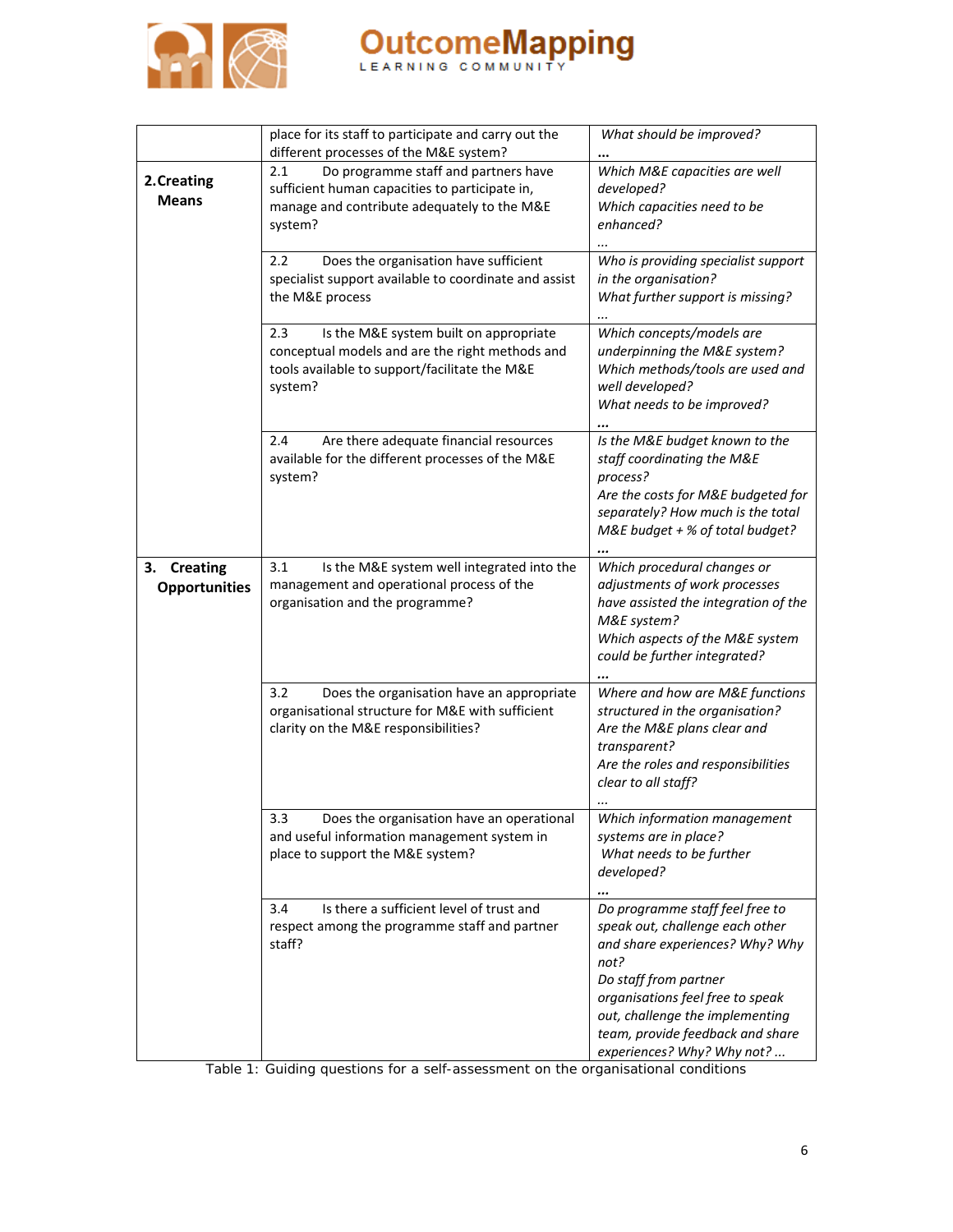

|                                               | place for its staff to participate and carry out the<br>different processes of the M&E system?                                                               | What should be improved?                                                                                                                                                               |  |
|-----------------------------------------------|--------------------------------------------------------------------------------------------------------------------------------------------------------------|----------------------------------------------------------------------------------------------------------------------------------------------------------------------------------------|--|
| 2. Creating<br><b>Means</b>                   | Do programme staff and partners have<br>2.1<br>sufficient human capacities to participate in,<br>manage and contribute adequately to the M&E<br>system?      | Which M&E capacities are well<br>developed?<br>Which capacities need to be<br>enhanced?                                                                                                |  |
|                                               | Does the organisation have sufficient<br>2.2<br>specialist support available to coordinate and assist<br>the M&E process                                     | Who is providing specialist support<br>in the organisation?<br>What further support is missing?                                                                                        |  |
|                                               | Is the M&E system built on appropriate<br>2.3<br>conceptual models and are the right methods and<br>tools available to support/facilitate the M&E<br>system? | Which concepts/models are<br>underpinning the M&E system?<br>Which methods/tools are used and<br>well developed?<br>What needs to be improved?                                         |  |
|                                               | Are there adequate financial resources<br>2.4<br>available for the different processes of the M&E<br>system?                                                 | Is the M&E budget known to the<br>staff coordinating the M&E<br>process?<br>Are the costs for M&E budgeted for<br>separately? How much is the total<br>M&E budget + % of total budget? |  |
| <b>Creating</b><br>з.<br><b>Opportunities</b> | Is the M&E system well integrated into the<br>3.1<br>management and operational process of the<br>organisation and the programme?                            | Which procedural changes or<br>adjustments of work processes<br>have assisted the integration of the<br>M&E system?<br>Which aspects of the M&E system<br>could be further integrated? |  |
|                                               | 3.2<br>Does the organisation have an appropriate<br>organisational structure for M&E with sufficient<br>clarity on the M&E responsibilities?                 | Where and how are M&E functions<br>structured in the organisation?<br>Are the M&E plans clear and<br>transparent?<br>Are the roles and responsibilities<br>clear to all staff?         |  |
|                                               | 3.3<br>Does the organisation have an operational<br>and useful information management system in<br>place to support the M&E system?                          | Which information management<br>systems are in place?<br>What needs to be further<br>developed?                                                                                        |  |
|                                               | Is there a sufficient level of trust and<br>3.4<br>respect among the programme staff and partner<br>staff?                                                   | Do programme staff feel free to<br>speak out, challenge each other<br>and share experiences? Why? Why<br>not?<br>Do staff from partner<br>organisations feel free to speak             |  |
|                                               | Table 1: Guiding questions for a self-assessment on the organisational conditions                                                                            | out, challenge the implementing<br>team, provide feedback and share<br>experiences? Why? Why not?                                                                                      |  |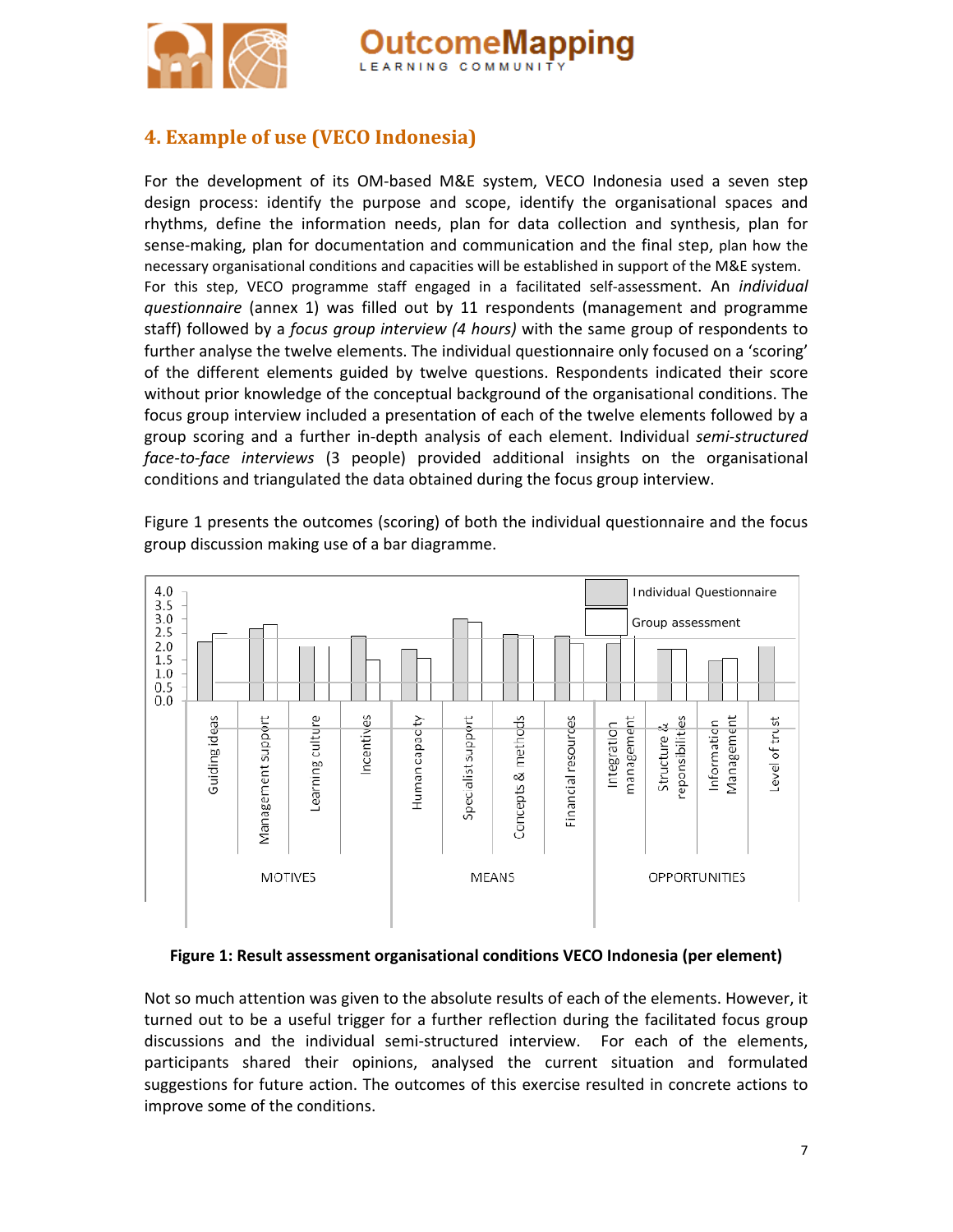



For the development of its OM-based M&E system, VECO Indonesia used a seven step design process: identify the purpose and scope, identify the organisational spaces and rhythms, define the information needs, plan for data collection and synthesis, plan for sense-making, plan for documentation and communication and the final step, plan how the necessary organisational conditions and capacities will be established in support of the M&E system. For this step, VECO programme staff engaged in a facilitated self‐assessment. An *individual questionnaire* (annex 1) was filled out by 11 respondents (management and programme staff) followed by a *focus group interview (4 hours)* with the same group of respondents to further analyse the twelve elements. The individual questionnaire only focused on a 'scoring' of the different elements guided by twelve questions. Respondents indicated their score without prior knowledge of the conceptual background of the organisational conditions. The focus group interview included a presentation of each of the twelve elements followed by a group scoring and a further in‐depth analysis of each element. Individual *semi‐structured face‐to‐face interviews* (3 people) provided additional insights on the organisational conditions and triangulated the data obtained during the focus group interview.

comeMapping

LEARNING COMMUNIT

Figure 1 presents the outcomes (scoring) of both the individual questionnaire and the focus group discussion making use of a bar diagramme.



#### **Figure 1: Result assessment organisational conditions VECO Indonesia (per element)**

Not so much attention was given to the absolute results of each of the elements. However, it turned out to be a useful trigger for a further reflection during the facilitated focus group discussions and the individual semi‐structured interview. For each of the elements, participants shared their opinions, analysed the current situation and formulated suggestions for future action. The outcomes of this exercise resulted in concrete actions to improve some of the conditions.